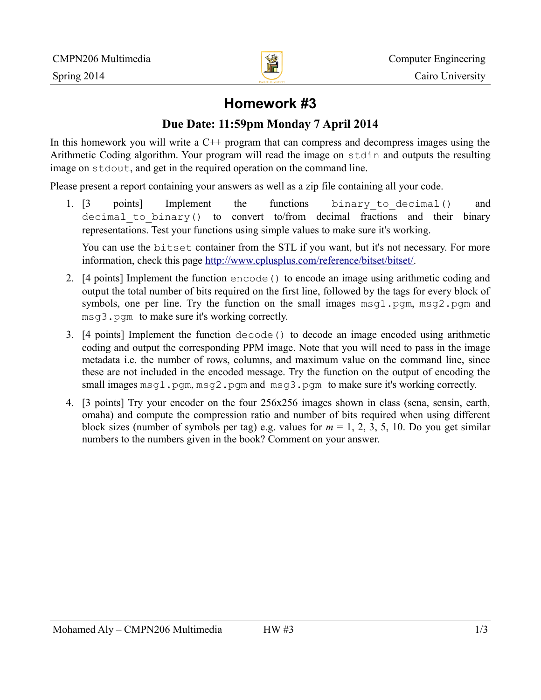

# **Homework #3**

## **Due Date: 11:59pm Monday 7 April 2014**

In this homework you will write a  $C^{++}$  program that can compress and decompress images using the Arithmetic Coding algorithm. Your program will read the image on stdin and outputs the resulting image on stdout, and get in the required operation on the command line.

Please present a report containing your answers as well as a zip file containing all your code.

1. [3 points] Implement the functions binary to decimal() and decimal to binary() to convert to/from decimal fractions and their binary representations. Test your functions using simple values to make sure it's working.

You can use the bitset container from the STL if you want, but it's not necessary. For more information, check this page [http://www.cplusplus.com/reference/bitset/bitset/.](http://www.cplusplus.com/reference/bitset/bitset/)

- 2. [4 points] Implement the function encode() to encode an image using arithmetic coding and output the total number of bits required on the first line, followed by the tags for every block of symbols, one per line. Try the function on the small images  $msq1.pqm, msq2.pqm and$ msg3.pgm to make sure it's working correctly.
- 3. [4 points] Implement the function decode() to decode an image encoded using arithmetic coding and output the corresponding PPM image. Note that you will need to pass in the image metadata i.e. the number of rows, columns, and maximum value on the command line, since these are not included in the encoded message. Try the function on the output of encoding the small images msg1.pgm, msg2.pgm and msg3.pgm to make sure it's working correctly.
- 4. [3 points] Try your encoder on the four 256x256 images shown in class (sena, sensin, earth, omaha) and compute the compression ratio and number of bits required when using different block sizes (number of symbols per tag) e.g. values for  $m = 1, 2, 3, 5, 10$ . Do you get similar numbers to the numbers given in the book? Comment on your answer.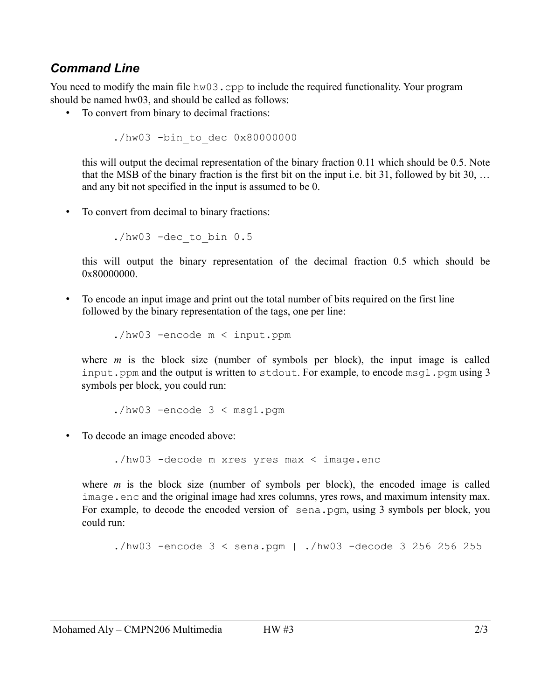#### *Command Line*

You need to modify the main file hw03.cpp to include the required functionality. Your program should be named hw03, and should be called as follows:

• To convert from binary to decimal fractions:

./hw03 -bin\_to\_dec 0x80000000

this will output the decimal representation of the binary fraction 0.11 which should be 0.5. Note that the MSB of the binary fraction is the first bit on the input i.e. bit 31, followed by bit 30, … and any bit not specified in the input is assumed to be 0.

• To convert from decimal to binary fractions:

 $./hw03$  -dec to bin  $0.5$ 

this will output the binary representation of the decimal fraction 0.5 which should be 0x80000000.

• To encode an input image and print out the total number of bits required on the first line followed by the binary representation of the tags, one per line:

./hw03 -encode m < input.ppm

where  $m$  is the block size (number of symbols per block), the input image is called input. ppm and the output is written to stdout. For example, to encode  $msq1$ . pgm using 3 symbols per block, you could run:

 $./hw03$  -encode  $3 < msq1.pqm$ 

• To decode an image encoded above:

./hw03 -decode m xres yres max < image.enc

where *m* is the block size (number of symbols per block), the encoded image is called image.enc and the original image had xres columns, yres rows, and maximum intensity max. For example, to decode the encoded version of sena.pgm, using 3 symbols per block, you could run:

 $./hw03$  -encode  $3 <$  sena.pqm | ./hw03 -decode 3 256 256 255